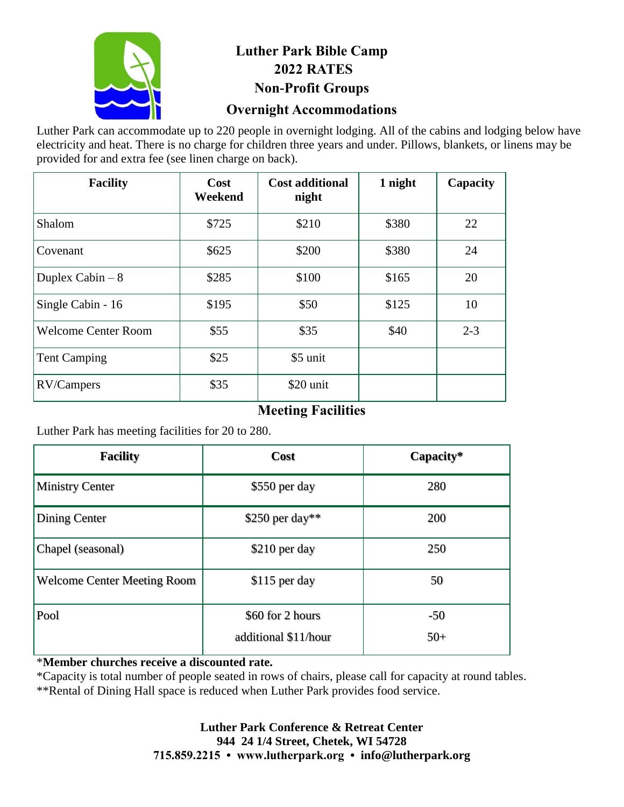

# **Luther Park Bible Camp 2022 RATES Non-Profit Groups**

### **Overnight Accommodations**

Luther Park can accommodate up to 220 people in overnight lodging. All of the cabins and lodging below have electricity and heat. There is no charge for children three years and under. Pillows, blankets, or linens may be provided for and extra fee (see linen charge on back).

| <b>Facility</b>            | Cost<br>Weekend | <b>Cost additional</b><br>night | 1 night | Capacity |
|----------------------------|-----------------|---------------------------------|---------|----------|
| Shalom                     | \$725           | \$210                           | \$380   | 22       |
| Covenant                   | \$625           | \$200                           | \$380   | 24       |
| Duplex Cabin $-8$          | \$285           | \$100                           | \$165   | 20       |
| Single Cabin - 16          | \$195           | \$50                            | \$125   | 10       |
| <b>Welcome Center Room</b> | \$55            | \$35                            | \$40    | $2 - 3$  |
| <b>Tent Camping</b>        | \$25            | \$5 unit                        |         |          |
| RV/Campers                 | \$35            | \$20 unit                       |         |          |

# **Meeting Facilities**

Luther Park has meeting facilities for 20 to 280.

| <b>Facility</b>                    | Cost                 | Capacity* |
|------------------------------------|----------------------|-----------|
| <b>Ministry Center</b>             | \$550 per day        | 280       |
| Dining Center                      | $$250$ per day**     | 200       |
| Chapel (seasonal)                  | \$210 per day        | 250       |
| <b>Welcome Center Meeting Room</b> | \$115 per day        | 50        |
| Pool                               | \$60 for 2 hours     | $-50$     |
|                                    | additional \$11/hour | $50+$     |

### \***Member churches receive a discounted rate.**

\*Capacity is total number of people seated in rows of chairs, please call for capacity at round tables.

\*\*Rental of Dining Hall space is reduced when Luther Park provides food service.

#### **Luther Park Conference & Retreat Center 944 24 1/4 Street, Chetek, WI 54728 715.859.2215 • www.lutherpark.org • info@lutherpark.org**